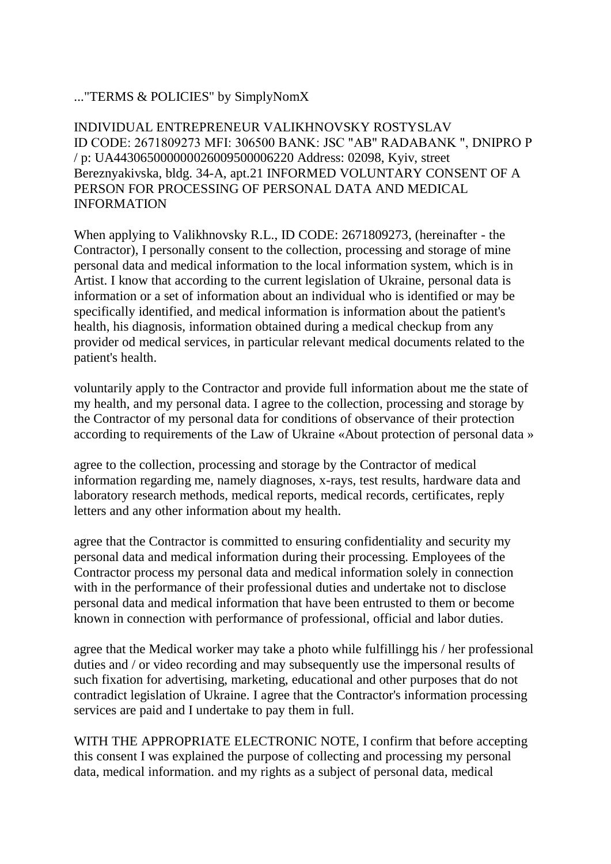## ..."TERMS & POLICIES" by SimplyNomX

INDIVIDUAL ENTREPRENEUR VALIKHNOVSKY ROSTYSLAV ID CODE: 2671809273 MFI: 306500 BANK: JSC "AB" RADABANK ", DNIPRO Р / p: UA443065000000026009500006220 Address: 02098, Kyiv, street Bereznyakivska, bldg. 34-A, apt.21 INFORMED VOLUNTARY CONSENT OF A PERSON FOR PROCESSING OF PERSONAL DATA AND MEDICAL INFORMATION

When applying to Valikhnovsky R.L., ID CODE: 2671809273, (hereinafter - the Contractor), I personally consent to the collection, processing and storage of mine personal data and medical information to the local information system, which is in Artist. I know that according to the current legislation of Ukraine, personal data is information or a set of information about an individual who is identified or may be specifically identified, and medical information is information about the patient's health, his diagnosis, information obtained during a medical checkup from any provider od medical services, in particular relevant medical documents related to the patient's health.

voluntarily apply to the Contractor and provide full information about me the state of my health, and my personal data. I agree to the collection, processing and storage by the Contractor of my personal data for conditions of observance of their protection according to requirements of the Law of Ukraine «About protection of personal data »

agree to the collection, processing and storage by the Contractor of medical information regarding me, namely diagnoses, x-rays, test results, hardware data and laboratory research methods, medical reports, medical records, certificates, reply letters and any other information about my health.

agree that the Contractor is committed to ensuring confidentiality and security my personal data and medical information during their processing. Employees of the Contractor process my personal data and medical information solely in connection with in the performance of their professional duties and undertake not to disclose personal data and medical information that have been entrusted to them or become known in connection with performance of professional, official and labor duties.

agree that the Medical worker may take a photo while fulfillingg his / her professional duties and / or video recording and may subsequently use the impersonal results of such fixation for advertising, marketing, educational and other purposes that do not contradict legislation of Ukraine. I agree that the Contractor's information processing services are paid and I undertake to pay them in full.

WITH THE APPROPRIATE ELECTRONIC NOTE, I confirm that before accepting this consent I was explained the purpose of collecting and processing my personal data, medical information. and my rights as a subject of personal data, medical